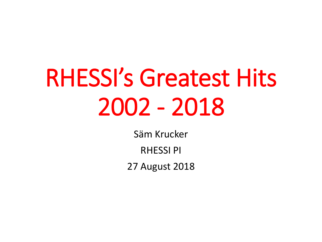# RHESSI's Greatest Hits 2002 - 2018

Säm Krucker

RHESSI PI

27 August 2018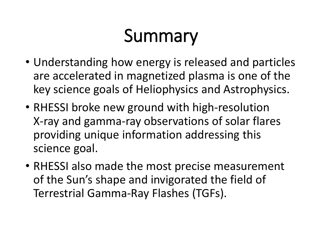# Summary

- Understanding how energy is released and particles are accelerated in magnetized plasma is one of the key science goals of Heliophysics and Astrophysics.
- RHESSI broke new ground with high-resolution X-ray and gamma-ray observations of solar flares providing unique information addressing this science goal.
- RHESSI also made the most precise measurement of the Sun's shape and invigorated the field of Terrestrial Gamma-Ray Flashes (TGFs).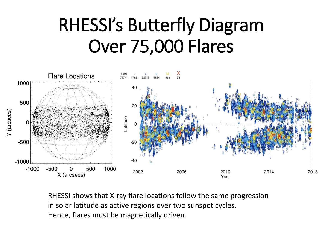## RHESSI's Butterfly Diagram Over 75,000 Flares



RHESSI shows that X-ray flare locations follow the same progression in solar latitude as active regions over two sunspot cycles. Hence, flares must be magnetically driven.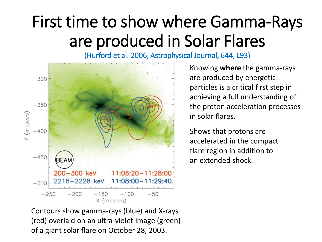### First time to show where Gamma-Rays are produced in Solar Flares

(Hurford et al. 2006, Astrophysical Journal, 644, L93)



Knowing **where** the gamma-rays are produced by energetic particles is a critical first step in achieving a full understanding of the proton acceleration processes in solar flares.

Shows that protons are accelerated in the compact flare region in addition to an extended shock.

Contours show gamma-rays (blue) and X-rays (red) overlaid on an ultra-violet image (green) of a giant solar flare on October 28, 2003.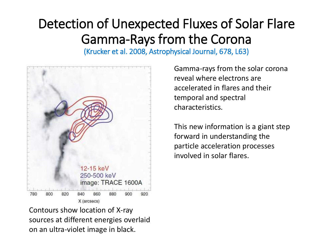### Detection of Unexpected Fluxes of Solar Flare Gamma-Rays from the Corona

(Krucker et al. 2008, Astrophysical Journal, 678, L63)



Contours show location of X-ray sources at different energies overlaid on an ultra-violet image in black.

Gamma-rays from the solar corona reveal where electrons are accelerated in flares and their temporal and spectral characteristics.

This new information is a giant step forward in understanding the particle acceleration processes involved in solar flares.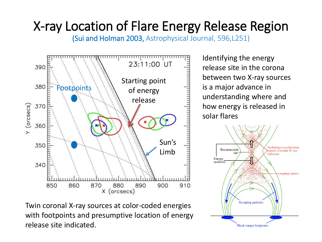### X-ray Location of Flare Energy Release Region

(Sui and Holman 2003, Astrophysical Journal, 596,L251)



Twin coronal X-ray sources at color-coded energies with footpoints and presumptive location of energy release site indicated.

Identifying the energy release site in the corona between two X-ray sources is a major advance in understanding where and how energy is released in solar flares

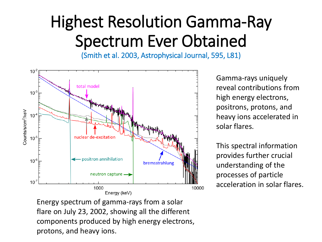### Highest Resolution Gamma-Ray Spectrum Ever Obtained

(Smith et al. 2003, Astrophysical Journal, 595, L81)



Gamma-rays uniquely reveal contributions from high energy electrons, positrons, protons, and heavy ions accelerated in solar flares.

This spectral information provides further crucial understanding of the processes of particle acceleration in solar flares.

Energy spectrum of gamma-rays from a solar flare on July 23, 2002, showing all the different components produced by high energy electrons, protons, and heavy ions.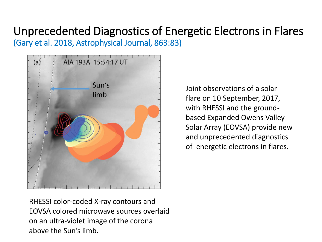#### Unprecedented Diagnostics of Energetic Electrons in Flares (Gary et al. 2018, Astrophysical Journal, 863:83)



Joint observations of a solar flare on 10 September, 2017, with RHESSI and the groundbased Expanded Owens Valley Solar Array (EOVSA) provide new and unprecedented diagnostics of energetic electrons in flares.

RHESSI color-coded X-ray contours and EOVSA colored microwave sources overlaid on an ultra-violet image of the corona above the Sun's limb.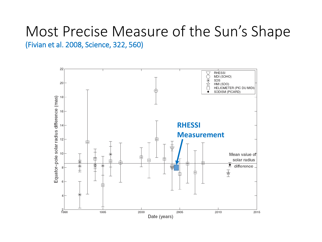#### Most Precise Measure of the Sun's Shape (Fivian et al. 2008, Science, 322, 560)